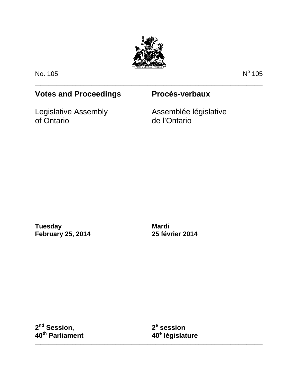

\_\_\_\_\_\_\_\_\_\_\_\_\_\_\_\_\_\_\_\_\_\_\_\_\_\_\_\_\_\_\_\_\_\_\_\_\_\_\_\_\_\_\_\_\_\_\_\_\_\_\_\_\_\_\_\_\_\_\_\_\_\_\_\_\_\_\_\_\_\_\_\_\_\_\_\_\_\_\_\_\_\_\_\_\_

No. 105 No.  $\sim$  No  $\sim$  No  $\sim$  No  $\sim$  No  $\sim$  No  $\sim$  105

# **Votes and Proceedings Procès-verbaux**

Legislative Assembly of Ontario

Assemblée législative de l'Ontario

**Tuesday February 25, 2014**

**Mardi 25 février 2014**

**2nd Session, 40th Parliament** **2e session 40e législature**

\_\_\_\_\_\_\_\_\_\_\_\_\_\_\_\_\_\_\_\_\_\_\_\_\_\_\_\_\_\_\_\_\_\_\_\_\_\_\_\_\_\_\_\_\_\_\_\_\_\_\_\_\_\_\_\_\_\_\_\_\_\_\_\_\_\_\_\_\_\_\_\_\_\_\_\_\_\_\_\_\_\_\_\_\_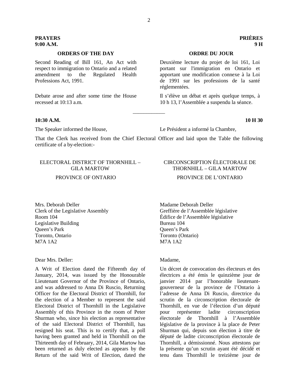# **ORDERS OF THE DAY ORDRE DU JOUR**

Second Reading of Bill 161, An Act with respect to immigration to Ontario and a related amendment to the Regulated Health Professions Act, 1991.

Debate arose and after some time the House recessed at 10:13 a.m.

# **10:30 A.M. 10 H 30**

The Speaker informed the House, Le Président a informé la Chambre,

That the Clerk has received from the Chief Electoral Officer and laid upon the Table the following certificate of a by-election:-

\_\_\_\_\_\_\_\_\_\_\_\_

# ELECTORAL DISTRICT OF THORNHILL – GILA MARTOW

### PROVINCE OF ONTARIO

Mrs. Deborah Deller Clerk of the Legislative Assembly Room 104 Legislative Building Queen's Park Toronto, Ontario M7A 1A2

## Dear Mrs. Deller:

A Writ of Election dated the Fifteenth day of January, 2014, was issued by the Honourable Lieutenant Governor of the Province of Ontario, and was addressed to Anna Di Ruscio, Returning Officer for the Electoral District of Thornhill, for the election of a Member to represent the said Electoral District of Thornhill in the Legislative Assembly of this Province in the room of Peter Shurman who, since his election as representative of the said Electoral District of Thornhill, has resigned his seat. This is to certify that, a poll having been granted and held in Thornhill on the Thirteenth day of February, 2014, Gila Martow has been returned as duly elected as appears by the Return of the said Writ of Election, dated the

# CIRCONSCRIPTION ÉLECTORALE DE THORNHILL – GILA MARTOW

### PROVINCE DE L'ONTARIO

Madame Deborah Deller Greffière de l'Assemblée législative Édifice de l'Assemblée législative Bureau 104 Queen's Park Toronto (Ontario) M7A 1A2

#### Madame,

Un décret de convocation des électeurs et des électrices a été émis le quinzième jour de janvier 2014 par l'honorable lieutenantgouverneur de la province de l'Ontario à l'adresse de Anna Di Ruscio, directrice du scrutin de la circonscription électorale de Thornhill, en vue de l'élection d'un député pour représenter ladite circonscription électorale de Thornhill à l'Assemblée législative de la province à la place de Peter Shurman qui, depuis son élection à titre de député de ladite circonscription électorale de Thornhill, a démissionné. Nous attestons par la présente qu'un scrutin ayant été décidé et tenu dans Thornhill le treizième jour de

# **PRAYERS PRIÈRES 9:00 A.M. 9 H**

Deuxième lecture du projet de loi 161, Loi portant sur l'immigration en Ontario et apportant une modification connexe à la Loi de 1991 sur les professions de la santé réglementées.

Il s'élève un débat et après quelque temps, à 10 h 13, l'Assemblée a suspendu la séance.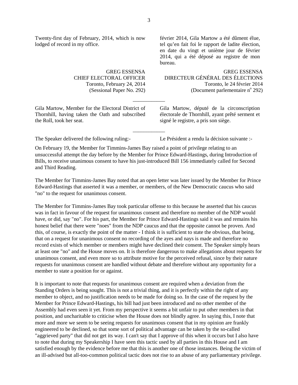Twenty-first day of February, 2014, which is now lodged of record in my office.

> GREG ESSENSA CHIEF ELECTORAL OFFICER Toronto, February 24, 2014 (Sessional Paper No. 292)

Gila Martow, Member for the Electoral District of Thornhill, having taken the Oath and subscribed the Roll, took her seat.

février 2014, Gila Martow a été dûment élue, tel qu'en fait foi le rapport de ladite élection, en date du vingt et unième jour de février 2014, qui a été déposé au registre de mon bureau.

GREG ESSENSA DIRECTEUR GÉNÉRAL DES ÉLECTIONS Toronto, le 24 février 2014 (Document parlementaire  $n^{\circ}$  292)

Gila Martow, député de la circonscription électorale de Thornhill, ayant prêté serment et signé le registre, a pris son siège.

The Speaker delivered the following ruling:- Le Président a rendu la décision suivante :-

On February 19, the Member for Timmins-James Bay raised a point of privilege relating to an unsuccessful attempt the day before by the Member for Prince Edward-Hastings, during Introduction of Bills, to receive unanimous consent to have his just-introduced Bill 156 immediately called for Second and Third Reading.

\_\_\_\_\_\_\_\_\_\_\_\_

\_\_\_\_\_\_\_\_\_\_\_\_

The Member for Timmins-James Bay noted that an open letter was later issued by the Member for Prince Edward-Hastings that asserted it was a member, or members, of the New Democratic caucus who said "no" to the request for unanimous consent.

The Member for Timmins-James Bay took particular offense to this because he asserted that his caucus was in fact in favour of the request for unanimous consent and therefore no member of the NDP would have, or did, say "no". For his part, the Member for Prince Edward-Hastings said it was and remains his honest belief that there were "noes" from the NDP caucus and that the opposite cannot be proven. And this, of course, is exactly the point of the matter - I think it is sufficient to state the obvious, that being, that on a request for unanimous consent no recording of the ayes and nays is made and therefore no record exists of which member or members might have declined their consent. The Speaker simply hears at least one "no" and the House moves on. It is therefore dangerous to make allegations about requests for unanimous consent, and even more so to attribute motive for the perceived refusal, since by their nature requests for unanimous consent are handled without debate and therefore without any opportunity for a member to state a position for or against.

It is important to note that requests for unanimous consent are required when a deviation from the Standing Orders is being sought. This is not a trivial thing, and it is perfectly within the right of any member to object, and no justification needs to be made for doing so. In the case of the request by the Member for Prince Edward-Hastings, his bill had just been introduced and no other member of the Assembly had even seen it yet. From my perspective it seems a bit unfair to put other members in that position, and uncharitable to criticise when the House does not blindly agree. In saying this, I note that more and more we seem to be seeing requests for unanimous consent that in my opinion are frankly engineered to be declined, so that some sort of political advantage can be taken by the so-called "aggrieved party" that did not get its way. I can't say that I approve of this when it occurs but I also have to note that during my Speakership I have seen this tactic used by all parties in this House and I am satisfied enough by the evidence before me that this is another one of those instances. Being the victim of an ill-advised but all-too-common political tactic does not rise to an abuse of any parliamentary privilege.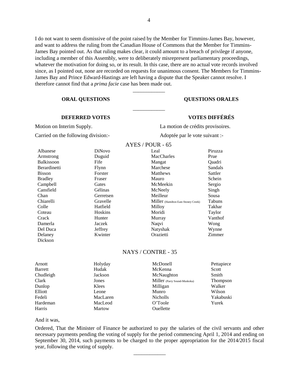I do not want to seem dismissive of the point raised by the Member for Timmins-James Bay, however, and want to address the ruling from the Canadian House of Commons that the Member for Timmins-James Bay pointed out. As that ruling makes clear, it could amount to a breach of privilege if anyone, including a member of this Assembly, were to deliberately misrepresent parliamentary proceedings, whatever the motivation for doing so, or its result. In this case, there are no actual vote records involved since, as I pointed out, none are recorded on requests for unanimous consent. The Members for Timmins-James Bay and Prince Edward-Hastings are left having a dispute that the Speaker cannot resolve. I therefore cannot find that a *prima facie* case has been made out.

\_\_\_\_\_\_\_\_\_\_\_\_

\_\_\_\_\_\_\_\_\_\_\_\_

# **ORAL QUESTIONS QUESTIONS ORALES**

# **DEFERRED VOTES VOTES DIFFÉRÉS**

Carried on the following division:- Adoptée par le vote suivant :-

Motion on Interim Supply. La motion de crédits provisoires.

| Albanese       | <b>DiNovo</b> |
|----------------|---------------|
| Armstrong      | Duguid        |
| Balkissoon     | Fife          |
| Berardinetti   | Flynn         |
| Bisson         | Forster       |
| <b>Bradley</b> | Fraser        |
| Campbell       | Gates         |
| Cansfield      | Gélinas       |
| Chan           | Gerretsen     |
| Chiarelli      | Gravelle      |
| Colle          | Hatfield      |
| Coteau         | Hoskins       |
| Crack          | Hunter        |
| Damerla        | Jaczek        |
| Del Duca       | Jeffrey       |
| Delaney        | Kwinter       |
| Dickson        |               |
|                |               |

#### AYES / POUR - 65

| Leal                                | Piruzza       |
|-------------------------------------|---------------|
|                                     |               |
| <b>MacCharles</b>                   | Prue          |
| Mangat                              | Oaadri        |
| Marchese                            | Sandals       |
| Matthews                            | Sattler       |
| Mauro                               | Schein        |
| McMeekin                            | Sergio        |
| McNeely                             | Singh         |
| Meilleur                            | Sousa         |
| Miller (Hamilton East-Stoney Creek) | Tabuns        |
| Milloy                              | Takhar        |
| Moridi                              | Taylor        |
| Murray                              | Vanthof       |
| Naqvi                               | Wong          |
| Natyshak                            | Wynne         |
| Orazietti                           | <b>Zimmer</b> |

# NAYS / CONTRE - 35

| Arnott         | Holyday  | McDonell                     | Pettapiece      |
|----------------|----------|------------------------------|-----------------|
| <b>Barrett</b> | Hudak    | McKenna                      | Scott           |
| Chudleigh      | Jackson  | McNaughton                   | Smith           |
| Clark          | Jones    | Miller (Parry Sound-Muskoka) | <b>Thompson</b> |
| Dunlop         | Klees    | Milligan                     | Walker          |
| Elliott        | Leone    | Munro                        | Wilson          |
| Fedeli         | MacLaren | <b>Nicholls</b>              | Yakabuski       |
| Hardeman       | MacLeod  | O'Toole                      | Yurek           |
| Harris         | Martow   | Ouellette                    |                 |

# And it was,

Ordered, That the Minister of Finance be authorized to pay the salaries of the civil servants and other necessary payments pending the voting of supply for the period commencing April 1, 2014 and ending on September 30, 2014, such payments to be charged to the proper appropriation for the 2014/2015 fiscal year, following the voting of supply.

\_\_\_\_\_\_\_\_\_\_\_\_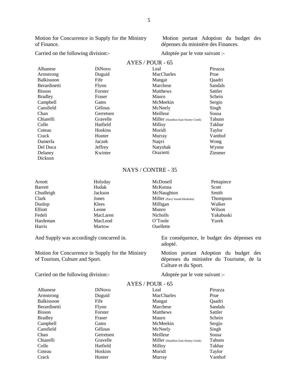Motion for Concurrence in Supply for the Ministry of Finance.

Motion portant Adoption du budget des dépenses du ministère des Finances.

# Carried on the following division:- Adoptée par le vote suivant :-

### $AYES / POIIR - 65$

|                     |               | 111L011VU11<br>ັບປ                  |               |
|---------------------|---------------|-------------------------------------|---------------|
| Albanese            | <b>DiNovo</b> | Leal                                | Piruzza       |
| Armstrong           | Duguid        | MacCharles                          | Prue          |
| <b>Balkissoon</b>   | Fife          | Mangat                              | <b>Oaadri</b> |
| <b>Berardinetti</b> | Flynn         | Marchese                            | Sandals       |
| <b>Bisson</b>       | Forster       | Matthews                            | Sattler       |
| <b>Bradley</b>      | Fraser        | Mauro                               | Schein        |
| Campbell            | Gates         | McMeekin                            | Sergio        |
| Cansfield           | Gélinas       | McNeely                             | Singh         |
| Chan                | Gerretsen     | Meilleur                            | Sousa         |
| Chiarelli           | Gravelle      | Miller (Hamilton East-Stoney Creek) | Tabuns        |
| Colle               | Hatfield      | Milloy                              | Takhar        |
| Coteau              | Hoskins       | Moridi                              | Taylor        |
| Crack               | Hunter        | Murray                              | Vanthof       |
| Damerla             | Jaczek        | Naqvi                               | Wong          |
| Del Duca            | Jeffrey       | Natyshak                            | Wynne         |
| Delaney             | Kwinter       | Orazietti                           | Zimmer        |
| Dickson             |               |                                     |               |

# NAYS / CONTRE - 35

| Holyday  | McDonell                     | Pettapiece |
|----------|------------------------------|------------|
| Hudak    | McKenna                      | Scott      |
| Jackson  | McNaughton                   | Smith      |
| Jones    | Miller (Parry Sound-Muskoka) | Thompson   |
| Klees    | Milligan                     | Walker     |
| Leone    | Munro                        | Wilson     |
| MacLaren | <b>Nicholls</b>              | Yakabuski  |
| MacLeod  | O'Toole                      | Yurek      |
| Martow   | Ouellette                    |            |
|          |                              |            |

And Supply was accordingly concurred in. En conséquence, le budget des dépenses est

Motion for Concurrence in Supply for the Ministry of Tourism, Culture and Sport.

Carried on the following division:-<br>
Adoptée par le vote suivant :-

adopté.

Motion portant Adoption du budget des dépenses du ministère du Tourisme, de la Culture et du Sport.

|                     | AYES / POUR - 65 |                                     |               |
|---------------------|------------------|-------------------------------------|---------------|
| Albanese            | <b>DiNovo</b>    | Leal                                | Piruzza       |
| Armstrong           | Duguid           | <b>MacCharles</b>                   | Prue          |
| <b>Balkissoon</b>   | Fife             | Mangat                              | <b>Oaadri</b> |
| <b>Berardinetti</b> | Flynn            | Marchese                            | Sandals       |
| <b>Bisson</b>       | Forster          | <b>Matthews</b>                     | Sattler       |
| <b>Bradley</b>      | Fraser           | Mauro                               | Schein        |
| Campbell            | Gates            | McMeekin                            | Sergio        |
| Cansfield           | Gélinas          | McNeely                             | Singh         |
| Chan                | Gerretsen        | Meilleur                            | Sousa         |
| Chiarelli           | Gravelle         | Miller (Hamilton East-Stoney Creek) | <b>Tabuns</b> |
| Colle               | Hatfield         | Milloy                              | Takhar        |
| Coteau              | <b>Hoskins</b>   | Moridi                              | Taylor        |
| Crack               | Hunter           | Murray                              | Vanthof       |

5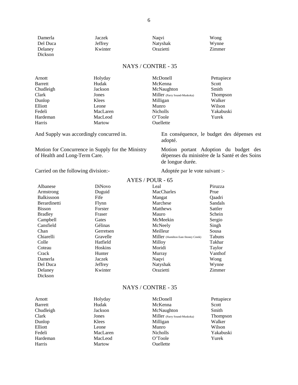| Damerla  | Jaczek  | Nagvi     | Wong   |
|----------|---------|-----------|--------|
| Del Duca | Jeffrey | Natyshak  | Wynne  |
| Delaney  | Kwinter | Orazietti | Zimmer |
| Dickson  |         |           |        |

| Arnott         | Holyday  | McDonell                     | Pettapiece      |
|----------------|----------|------------------------------|-----------------|
| <b>Barrett</b> | Hudak    | McKenna                      | Scott           |
| Chudleigh      | Jackson  | McNaughton                   | Smith           |
| Clark          | Jones    | Miller (Parry Sound-Muskoka) | <b>Thompson</b> |
| Dunlop         | Klees    | Milligan                     | Walker          |
| Elliott        | Leone    | Munro                        | Wilson          |
| Fedeli         | MacLaren | <b>Nicholls</b>              | Yakabuski       |
| Hardeman       | MacLeod  | O'Toole                      | Yurek           |
| Harris         | Martow   | Ouellette                    |                 |

And Supply was accordingly concurred in. En conséquence, le budget des dépenses est

Motion for Concurrence in Supply for the Ministry of Health and Long-Term Care.

Carried on the following division:-<br>
Adoptée par le vote suivant :-

Motion portant Adoption du budget des dépenses du ministère de la Santé et des Soins

adopté.

de longue durée.

|                     | AYES / POUR - 65 |                                     |               |
|---------------------|------------------|-------------------------------------|---------------|
| Albanese            | <b>DiNovo</b>    | Leal                                | Piruzza       |
| Armstrong           | Duguid           | MacCharles                          | Prue          |
| <b>Balkissoon</b>   | Fife             | Mangat                              | <b>Oaadri</b> |
| <b>Berardinetti</b> | Flynn            | Marchese                            | Sandals       |
| <b>Bisson</b>       | Forster          | <b>Matthews</b>                     | Sattler       |
| <b>Bradley</b>      | Fraser           | Mauro                               | Schein        |
| Campbell            | Gates            | McMeekin                            | Sergio        |
| Cansfield           | Gélinas          | McNeely                             | Singh         |
| Chan                | Gerretsen        | Meilleur                            | Sousa         |
| Chiarelli           | Gravelle         | Miller (Hamilton East-Stoney Creek) | <b>Tabuns</b> |
| Colle               | Hatfield         | Milloy                              | Takhar        |
| Coteau              | <b>Hoskins</b>   | Moridi                              | Taylor        |
| Crack               | Hunter           | Murray                              | Vanthof       |
| Damerla             | Jaczek           | Naqvi                               | Wong          |
| Del Duca            | Jeffrey          | Natyshak                            | Wynne         |
| Delaney             | Kwinter          | Orazietti                           | Zimmer        |
| Dickson             |                  |                                     |               |

# NAYS / CONTRE - 35

| Arnott    | Holyday  | McDonell                     | Pettapiece |
|-----------|----------|------------------------------|------------|
| Barrett   | Hudak    | McKenna                      | Scott      |
| Chudleigh | Jackson  | McNaughton                   | Smith      |
| Clark     | Jones    | Miller (Parry Sound-Muskoka) | Thompson   |
| Dunlop    | Klees    | Milligan                     | Walker     |
| Elliott   | Leone    | Munro                        | Wilson     |
| Fedeli    | MacLaren | <b>Nicholls</b>              | Yakabuski  |
| Hardeman  | MacLeod  | O'Toole                      | Yurek      |
| Harris    | Martow   | Ouellette                    |            |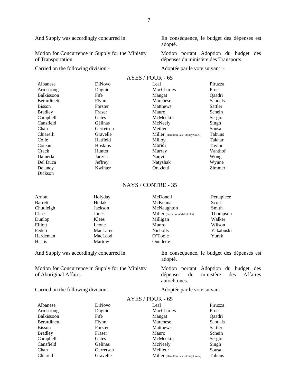Motion for Concurrence in Supply for the Ministry of Transportation.

Carried on the following division:- Adoptée par le vote suivant :-

And Supply was accordingly concurred in. En conséquence, le budget des dépenses est adopté.

> Motion portant Adoption du budget des dépenses du ministère des Transports.

| AYES / POUR - 65 |  |
|------------------|--|
|                  |  |

| Albanese            | <b>DiNovo</b> | Leal                                | Piruzza |
|---------------------|---------------|-------------------------------------|---------|
| Armstrong           | Duguid        | MacCharles                          | Prue    |
| <b>Balkissoon</b>   | Fife          | Mangat                              | Qaadri  |
| <b>Berardinetti</b> | Flynn         | Marchese                            | Sandals |
| <b>Bisson</b>       | Forster       | Matthews                            | Sattler |
| <b>Bradley</b>      | Fraser        | Mauro                               | Schein  |
| Campbell            | Gates         | McMeekin                            | Sergio  |
| Cansfield           | Gélinas       | McNeely                             | Singh   |
| Chan                | Gerretsen     | Meilleur                            | Sousa   |
| Chiarelli           | Gravelle      | Miller (Hamilton East-Stoney Creek) | Tabuns  |
| Colle               | Hatfield      | Milloy                              | Takhar  |
| Coteau              | Hoskins       | Moridi                              | Taylor  |
| Crack               | Hunter        | Murray                              | Vanthof |
| Damerla             | Jaczek        | Naqvi                               | Wong    |
| Del Duca            | Jeffrey       | Natyshak                            | Wynne   |
| Delaney             | Kwinter       | Orazietti                           | Zimmer  |
| Dickson             |               |                                     |         |

### NAYS / CONTRE - 35

| Arnott         | Holyday  | McDonell                     | Pettapiece      |
|----------------|----------|------------------------------|-----------------|
| <b>Barrett</b> | Hudak    | McKenna                      | Scott           |
| Chudleigh      | Jackson  | McNaughton                   | Smith           |
| Clark          | Jones    | Miller (Parry Sound-Muskoka) | <b>Thompson</b> |
| Dunlop         | Klees    | Milligan                     | Walker          |
| Elliott        | Leone    | Munro                        | Wilson          |
| Fedeli         | MacLaren | <b>Nicholls</b>              | Yakabuski       |
| Hardeman       | MacLeod  | O'Toole                      | Yurek           |
| Harris         | Martow   | Ouellette                    |                 |
|                |          |                              |                 |

And Supply was accordingly concurred in. En conséquence, le budget des dépenses est

Motion for Concurrence in Supply for the Ministry of Aboriginal Affairs.

Motion portant Adoption du budget des dépenses du ministère des Affaires autochtones.

Carried on the following division:-<br>Adoptée par le vote suivant :-

| <b>DiNovo</b> | Leal                                | Piruzza        |
|---------------|-------------------------------------|----------------|
| Duguid        | MacCharles                          | Prue           |
| Fife          | Mangat                              | Oaadri         |
| Flynn         | Marchese                            | Sandals        |
| Forster       | Matthews                            | Sattler        |
| Fraser        | Mauro                               | Schein         |
| Gates         | McMeekin                            | Sergio         |
| Gélinas       | McNeely                             | Singh          |
| Gerretsen     | Meilleur                            | Sousa          |
| Gravelle      | Miller (Hamilton East-Stoney Creek) | Tabuns         |
|               |                                     | $111E9/100R_0$ |

# $\triangle VFS$  / POUR - 65

adopté.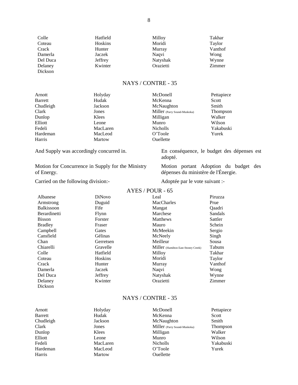| Colle    | Hatfield | Milloy    | Takhar  |
|----------|----------|-----------|---------|
| Coteau   | Hoskins  | Moridi    | Taylor  |
| Crack    | Hunter   | Murray    | Vanthof |
| Damerla  | Jaczek   | Naqvi     | Wong    |
| Del Duca | Jeffrey  | Natyshak  | Wynne   |
| Delaney  | Kwinter  | Orazietti | Zimmer  |
| Dickson  |          |           |         |

| Arnott         | Holyday  | McDonell                     | Pettapiece |
|----------------|----------|------------------------------|------------|
| <b>Barrett</b> | Hudak    | McKenna                      | Scott      |
| Chudleigh      | Jackson  | McNaughton                   | Smith      |
| Clark          | Jones    | Miller (Parry Sound-Muskoka) | Thompson   |
| Dunlop         | Klees    | Milligan                     | Walker     |
| Elliott        | Leone    | Munro                        | Wilson     |
| Fedeli         | MacLaren | <b>Nicholls</b>              | Yakabuski  |
| Hardeman       | MacLeod  | O'Toole                      | Yurek      |
| Harris         | Martow   | Ouellette                    |            |

And Supply was accordingly concurred in. En conséquence, le budget des dépenses est

Motion for Concurrence in Supply for the Ministry of Energy.

Carried on the following division:- Adoptée par le vote suivant :-

adopté. Motion portant Adoption du budget des

dépenses du ministère de l'Énergie.

#### AYES / POUR - 65

| Albanese            | <b>DiNovo</b> | Leal                                | Piruzza       |
|---------------------|---------------|-------------------------------------|---------------|
| Armstrong           | Duguid        | MacCharles                          | Prue          |
| <b>Balkissoon</b>   | Fife          | Mangat                              | <b>Oaadri</b> |
| <b>Berardinetti</b> | Flynn         | Marchese                            | Sandals       |
| <b>Bisson</b>       | Forster       | Matthews                            | Sattler       |
| <b>Bradley</b>      | Fraser        | Mauro                               | Schein        |
| Campbell            | Gates         | McMeekin                            | Sergio        |
| Cansfield           | Gélinas       | McNeely                             | Singh         |
| Chan                | Gerretsen     | Meilleur                            | Sousa         |
| Chiarelli           | Gravelle      | Miller (Hamilton East-Stoney Creek) | <b>Tabuns</b> |
| Colle               | Hatfield      | Milloy                              | Takhar        |
| Coteau              | Hoskins       | Moridi                              | Taylor        |
| Crack               | Hunter        | Murray                              | Vanthof       |
| Damerla             | Jaczek        | Naqvi                               | Wong          |
| Del Duca            | Jeffrey       | Natyshak                            | Wynne         |
| Delaney             | Kwinter       | Orazietti                           | Zimmer        |
| Dickson             |               |                                     |               |

# NAYS / CONTRE - 35

| Arnott         | Holyday  | McDonell                     | Pettapiece |
|----------------|----------|------------------------------|------------|
| <b>Barrett</b> | Hudak    | McKenna                      | Scott      |
| Chudleigh      | Jackson  | McNaughton                   | Smith      |
| Clark          | Jones    | Miller (Parry Sound-Muskoka) | Thompson   |
| Dunlop         | Klees    | Milligan                     | Walker     |
| Elliott        | Leone    | Munro                        | Wilson     |
| Fedeli         | MacLaren | <b>Nicholls</b>              | Yakabuski  |
| Hardeman       | MacLeod  | O'Toole                      | Yurek      |
| Harris         | Martow   | Ouellette                    |            |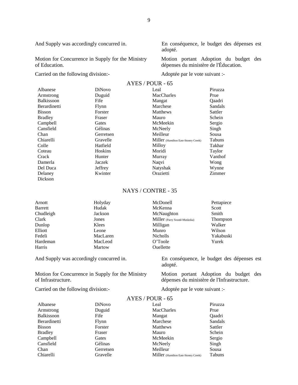Motion for Concurrence in Supply for the Ministry of Education.

Carried on the following division:-<br>
Adoptée par le vote suivant :-

And Supply was accordingly concurred in. En conséquence, le budget des dépenses est adopté.

> Motion portant Adoption du budget des dépenses du ministère de l'Éducation.

|                     |               | AYES / POUR - 65                    |               |
|---------------------|---------------|-------------------------------------|---------------|
| Albanese            | <b>DiNovo</b> | Leal                                | Piruzza       |
| Armstrong           | Duguid        | <b>MacCharles</b>                   | Prue          |
| <b>Balkissoon</b>   | Fife          | Mangat                              | <b>Oaadri</b> |
| <b>Berardinetti</b> | Flynn         | Marchese                            | Sandals       |
| <b>Bisson</b>       | Forster       | Matthews                            | Sattler       |
| <b>Bradley</b>      | Fraser        | Mauro                               | Schein        |
| Campbell            | Gates         | McMeekin                            | Sergio        |
| Cansfield           | Gélinas       | McNeely                             | Singh         |
| Chan                | Gerretsen     | Meilleur                            | Sousa         |
| Chiarelli           | Gravelle      | Miller (Hamilton East-Stoney Creek) | <b>Tabuns</b> |
| Colle               | Hatfield      | Milloy                              | Takhar        |
| Coteau              | Hoskins       | Moridi                              | Taylor        |
| Crack               | Hunter        | Murray                              | Vanthof       |
| Damerla             | Jaczek        | Naqvi                               | Wong          |
| Del Duca            | Jeffrey       | Natyshak                            | Wynne         |
| Delaney             | Kwinter       | Orazietti                           | Zimmer        |
| Dickson             |               |                                     |               |

# NAYS / CONTRE - 35

| Arnott    | Holyday  | McDonell                     | Pettapiece |
|-----------|----------|------------------------------|------------|
| Barrett   | Hudak    | McKenna                      | Scott      |
| Chudleigh | Jackson  | McNaughton                   | Smith      |
| Clark     | Jones    | Miller (Parry Sound-Muskoka) | Thompson   |
| Dunlop    | Klees    | Milligan                     | Walker     |
| Elliott   | Leone    | Munro                        | Wilson     |
| Fedeli    | MacLaren | <b>Nicholls</b>              | Yakabuski  |
| Hardeman  | MacLeod  | O'Toole                      | Yurek      |
| Harris    | Martow   | Ouellette                    |            |

And Supply was accordingly concurred in. En conséquence, le budget des dépenses est

Motion for Concurrence in Supply for the Ministry of Infrastructure.

Motion portant Adoption du budget des dépenses du ministère de l'Infrastructure.

Carried on the following division:-<br>
Adoptée par le vote suivant :-

adopté.

| Albanese       | <b>DiNovo</b> | Leal                                | Piruzza |
|----------------|---------------|-------------------------------------|---------|
| Armstrong      | Duguid        | MacCharles                          | Prue    |
| Balkissoon     | Fife          | Mangat                              | Oaadri  |
| Berardinetti   | Flynn         | Marchese                            | Sandals |
| <b>Bisson</b>  | Forster       | Matthews                            | Sattler |
| <b>Bradley</b> | Fraser        | Mauro                               | Schein  |
| Campbell       | Gates         | McMeekin                            | Sergio  |
| Cansfield      | Gélinas       | McNeely                             | Singh   |
| Chan           | Gerretsen     | Meilleur                            | Sousa   |
| Chiarelli      | Gravelle      | Miller (Hamilton East-Stoney Creek) | Tabuns  |
|                |               |                                     |         |

# $AYES / POIIR - 65$

9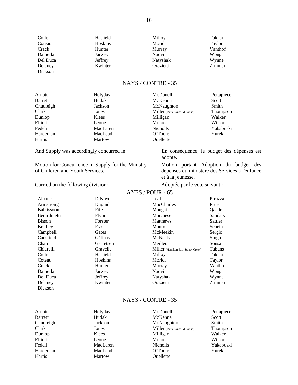| Colle    | Hatfield | Milloy    | Takhar  |
|----------|----------|-----------|---------|
| Coteau   | Hoskins  | Moridi    | Taylor  |
| Crack    | Hunter   | Murray    | Vanthof |
| Damerla  | Jaczek   | Naqvi     | Wong    |
| Del Duca | Jeffrey  | Natyshak  | Wynne   |
| Delaney  | Kwinter  | Orazietti | Zimmer  |
| Dickson  |          |           |         |

| Arnott         | Holyday  | McDonell                     | Pettapiece      |
|----------------|----------|------------------------------|-----------------|
| <b>Barrett</b> | Hudak    | McKenna                      | Scott           |
| Chudleigh      | Jackson  | McNaughton                   | Smith           |
| Clark          | Jones    | Miller (Parry Sound-Muskoka) | <b>Thompson</b> |
| Dunlop         | Klees    | Milligan                     | Walker          |
| Elliott        | Leone    | Munro                        | Wilson          |
| Fedeli         | MacLaren | <b>Nicholls</b>              | Yakabuski       |
| Hardeman       | MacLeod  | O'Toole                      | Yurek           |
| Harris         | Martow   | Ouellette                    |                 |

And Supply was accordingly concurred in. En conséquence, le budget des dépenses est

Motion for Concurrence in Supply for the Ministry of Children and Youth Services.

Carried on the following division:- Adoptée par le vote suivant :-

adopté.

Motion portant Adoption du budget des dépenses du ministère des Services à l'enfance et à la jeunesse.

|                   |                | AYES / POUR - 65                    |               |
|-------------------|----------------|-------------------------------------|---------------|
| Albanese          | <b>DiNovo</b>  | Leal                                | Piruzza       |
| Armstrong         | Duguid         | <b>MacCharles</b>                   | Prue          |
| <b>Balkissoon</b> | Fife           | Mangat                              | <b>Oaadri</b> |
| Berardinetti      | Flynn          | Marchese                            | Sandals       |
| <b>Bisson</b>     | Forster        | Matthews                            | Sattler       |
| <b>Bradley</b>    | Fraser         | Mauro                               | Schein        |
| Campbell          | Gates          | McMeekin                            | Sergio        |
| Cansfield         | <b>Gélinas</b> | McNeely                             | Singh         |
| Chan              | Gerretsen      | Meilleur                            | Sousa         |
| Chiarelli         | Gravelle       | Miller (Hamilton East-Stoney Creek) | Tabuns        |
| Colle             | Hatfield       | Milloy                              | Takhar        |
| Coteau            | Hoskins        | Moridi                              | Taylor        |
| Crack             | Hunter         | Murray                              | Vanthof       |
| Damerla           | Jaczek         | Naqvi                               | Wong          |
| Del Duca          | Jeffrey        | Natyshak                            | Wynne         |
| Delaney           | Kwinter        | Orazietti                           | Zimmer        |
| Dickson           |                |                                     |               |

# NAYS / CONTRE - 35

| Arnott         | Holyday  | McDonell                     | Pettapiece |
|----------------|----------|------------------------------|------------|
| <b>Barrett</b> | Hudak    | McKenna                      | Scott      |
| Chudleigh      | Jackson  | McNaughton                   | Smith      |
| Clark          | Jones    | Miller (Parry Sound-Muskoka) | Thompson   |
| Dunlop         | Klees    | Milligan                     | Walker     |
| Elliott        | Leone    | Munro                        | Wilson     |
| Fedeli         | MacLaren | <b>Nicholls</b>              | Yakabuski  |
| Hardeman       | MacLeod  | O'Toole                      | Yurek      |
| Harris         | Martow   | Ouellette                    |            |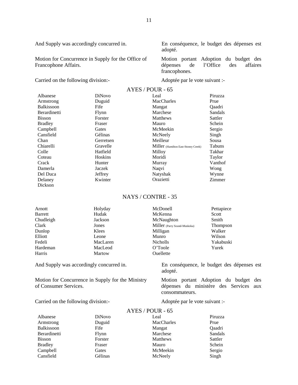Motion for Concurrence in Supply for the Office of Francophone Affairs.

Carried on the following division:- Adoptée par le vote suivant :-

Dickson

And Supply was accordingly concurred in. En conséquence, le budget des dépenses est adopté.

> Motion portant Adoption du budget des<br>dépenses de l'Office des affaires dépenses de l'Office des affaires francophones.

|                   | AYES / POUR - 65 |                                     |               |
|-------------------|------------------|-------------------------------------|---------------|
| Albanese          | DiNovo           | Leal                                | Piruzza       |
| Armstrong         | Duguid           | MacCharles                          | Prue          |
| <b>Balkissoon</b> | Fife             | Mangat                              | <b>Oaadri</b> |
| Berardinetti      | Flynn            | Marchese                            | Sandals       |
| <b>Bisson</b>     | Forster          | Matthews                            | Sattler       |
| <b>Bradley</b>    | Fraser           | Mauro                               | Schein        |
| Campbell          | Gates            | McMeekin                            | Sergio        |
| Cansfield         | Gélinas          | McNeely                             | Singh         |
| Chan              | Gerretsen        | Meilleur                            | Sousa         |
| Chiarelli         | Gravelle         | Miller (Hamilton East-Stoney Creek) | Tabuns        |
| Colle             | Hatfield         | Milloy                              | Takhar        |
| Coteau            | Hoskins          | Moridi                              | Taylor        |
| Crack             | Hunter           | Murray                              | Vanthof       |
| Damerla           | Jaczek           | Naqvi                               | Wong          |
| Del Duca          | Jeffrey          | Natyshak                            | Wynne         |
| Delaney           | Kwinter          | Orazietti                           | Zimmer        |

### NAYS / CONTRE - 35

| Arnott         | Holyday  | McDonell                     | Pettapiece |
|----------------|----------|------------------------------|------------|
| <b>Barrett</b> | Hudak    | McKenna                      | Scott      |
| Chudleigh      | Jackson  | McNaughton                   | Smith      |
| Clark          | Jones    | Miller (Parry Sound-Muskoka) | Thompson   |
| Dunlop         | Klees    | Milligan                     | Walker     |
| Elliott        | Leone    | Munro                        | Wilson     |
| Fedeli         | MacLaren | <b>Nicholls</b>              | Yakabuski  |
| Hardeman       | MacLeod  | O'Toole                      | Yurek      |
| Harris         | Martow   | Ouellette                    |            |

And Supply was accordingly concurred in. En conséquence, le budget des dépenses est

Motion for Concurrence in Supply for the Ministry of Consumer Services.

Carried on the following division:-<br>
Adoptée par le vote suivant :-

Motion portant Adoption du budget des dépenses du ministère des Services aux

#### AYES / POUR - 65

adopté.

consommateurs.

| Albanese       | DiNovo  | Leal       | Piruzza |
|----------------|---------|------------|---------|
| Armstrong      | Duguid  | MacCharles | Prue    |
| Balkissoon     | Fife    | Mangat     | Qaadri  |
| Berardinetti   | Flynn   | Marchese   | Sandals |
| <b>Bisson</b>  | Forster | Matthews   | Sattler |
| <b>Bradley</b> | Fraser  | Mauro      | Schein  |
| Campbell       | Gates   | McMeekin   | Sergio  |
| Cansfield      | Gélinas | McNeely    | Singh   |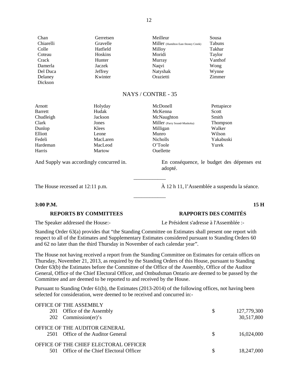| Chan      | Gerretsen | Meilleur                            | Sousa   |
|-----------|-----------|-------------------------------------|---------|
| Chiarelli | Gravelle  | Miller (Hamilton East-Stoney Creek) | Tabuns  |
| Colle     | Hatfield  | Milloy                              | Takhar  |
| Coteau    | Hoskins   | Moridi                              | Taylor  |
| Crack     | Hunter    | Murray                              | Vanthof |
| Damerla   | Jaczek    | Naqvi                               | Wong    |
| Del Duca  | Jeffrey   | Natyshak                            | Wynne   |
| Delaney   | Kwinter   | Orazietti                           | Zimmer  |
| Dickson   |           |                                     |         |

adopté.

| Arnott         | Holyday  | McDonell                     | Pettapiece      |
|----------------|----------|------------------------------|-----------------|
| <b>Barrett</b> | Hudak    | McKenna                      | Scott           |
| Chudleigh      | Jackson  | McNaughton                   | Smith           |
| Clark          | Jones    | Miller (Parry Sound-Muskoka) | <b>Thompson</b> |
| Dunlop         | Klees    | Milligan                     | Walker          |
| Elliott        | Leone    | Munro                        | Wilson          |
| Fedeli         | MacLaren | <b>Nicholls</b>              | Yakabuski       |
| Hardeman       | MacLeod  | O'Toole                      | Yurek           |
| Harris         | Martow   | Ouellette                    |                 |

And Supply was accordingly concurred in. En conséquence, le budget des dépenses est

The House recessed at 12:11 p.m.  $\hat{A}$  12 h 11, l'Assemblée a suspendu la séance.

### **3:00 P.M. 15 H**

**REPORTS BY COMMITTEES RAPPORTS DES COMITÉS**

The Speaker addressed the House:- Le Président s'adresse à l'Assemblée :-

Standing Order 63(a) provides that "the Standing Committee on Estimates shall present one report with respect to all of the Estimates and Supplementary Estimates considered pursuant to Standing Orders 60 and 62 no later than the third Thursday in November of each calendar year".

\_\_\_\_\_\_\_\_\_\_\_\_

\_\_\_\_\_\_\_\_\_\_\_\_

The House not having received a report from the Standing Committee on Estimates for certain offices on Thursday, November 21, 2013, as required by the Standing Orders of this House, pursuant to Standing Order 63(b) the Estimates before the Committee of the Office of the Assembly, Office of the Auditor General, Office of the Chief Electoral Officer, and Ombudsman Ontario are deemed to be passed by the Committee and are deemed to be reported to and received by the House.

Pursuant to Standing Order 61(b), the Estimates (2013-2014) of the following offices, not having been selected for consideration, were deemed to be received and concurred in:-

| OFFICE OF THE ASSEMBLY                    |               |             |
|-------------------------------------------|---------------|-------------|
| 201 Office of the Assembly                | <sup>\$</sup> | 127,779,300 |
| 202 Commission $(er)'s$                   |               | 30,517,800  |
| OFFICE OF THE AUDITOR GENERAL             |               |             |
| 2501 Office of the Auditor General        | <sup>\$</sup> | 16.024.000  |
| OFFICE OF THE CHIEF ELECTORAL OFFICER     |               |             |
| 501 Office of the Chief Electoral Officer | S             | 18,247,000  |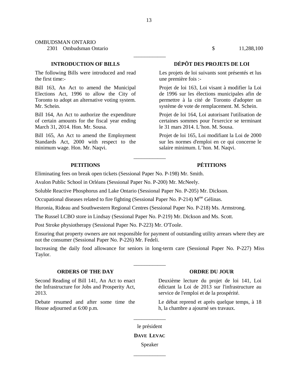#### OMBUDSMAN ONTARIO

2301 Ombudsman Ontario \$ 11,288,100

The following Bills were introduced and read the first time:-

Bill 163, An Act to amend the Municipal Elections Act, 1996 to allow the City of Toronto to adopt an alternative voting system. Mr. Schein.

Bill 164, An Act to authorize the expenditure of certain amounts for the fiscal year ending March 31, 2014. Hon. Mr. Sousa.

Bill 165, An Act to amend the Employment Standards Act, 2000 with respect to the minimum wage. Hon. Mr. Naqvi.

# **INTRODUCTION OF BILLS DÉPÔT DES PROJETS DE LOI**

Les projets de loi suivants sont présentés et lus une première fois :-

Projet de loi 163, Loi visant à modifier la Loi de 1996 sur les élections municipales afin de permettre à la cité de Toronto d'adopter un système de vote de remplacement. M. Schein.

Projet de loi 164, Loi autorisant l'utilisation de certaines sommes pour l'exercice se terminant le 31 mars 2014. L'hon. M. Sousa.

Projet de loi 165, Loi modifiant la Loi de 2000 sur les normes d'emploi en ce qui concerne le salaire minimum. L'hon. M. Naqvi.

### **PETITIONS PÉTITIONS**

Eliminating fees on break open tickets (Sessional Paper No. P-198) Mr. Smith.

Avalon Public School in Orléans (Sessional Paper No. P-200) Mr. McNeely.

Soluble Reactive Phosphorus and Lake Ontario (Sessional Paper No. P-205) Mr. Dickson.

Occupational diseases related to fire fighting (Sessional Paper No. P-214)  $M<sup>me</sup>$  Gélinas.

Huronia, Rideau and Southwestern Regional Centres (Sessional Paper No. P-218) Ms. Armstrong.

The Russel LCBO store in Lindsay (Sessional Paper No. P-219) Mr. Dickson and Ms. Scott.

Post Stroke physiotherapy (Sessional Paper No. P-223) Mr. O'Toole.

Ensuring that property owners are not responsible for payment of outstanding utility arrears where they are not the consumer (Sessional Paper No. P-226) Mr. Fedeli.

\_\_\_\_\_\_\_\_\_\_\_\_

Increasing the daily food allowance for seniors in long-term care (Sessional Paper No. P-227) Miss Taylor.

\_\_\_\_\_\_\_\_\_\_\_\_

# **ORDERS OF THE DAY ORDRE DU JOUR**

Second Reading of Bill 141, An Act to enact the Infrastructure for Jobs and Prosperity Act, 2013.

Debate resumed and after some time the House adjourned at 6:00 p.m.

Deuxième lecture du projet de loi 141, Loi édictant la Loi de 2013 sur l'infrastructure au service de l'emploi et de la prospérité.

Le débat reprend et après quelque temps, à 18 h, la chambre a ajourné ses travaux.

\_\_\_\_\_\_\_\_\_\_\_\_ le président

#### **DAVE LEVAC**

Speaker \_\_\_\_\_\_\_\_\_\_\_\_

13

\_\_\_\_\_\_\_\_\_\_\_\_